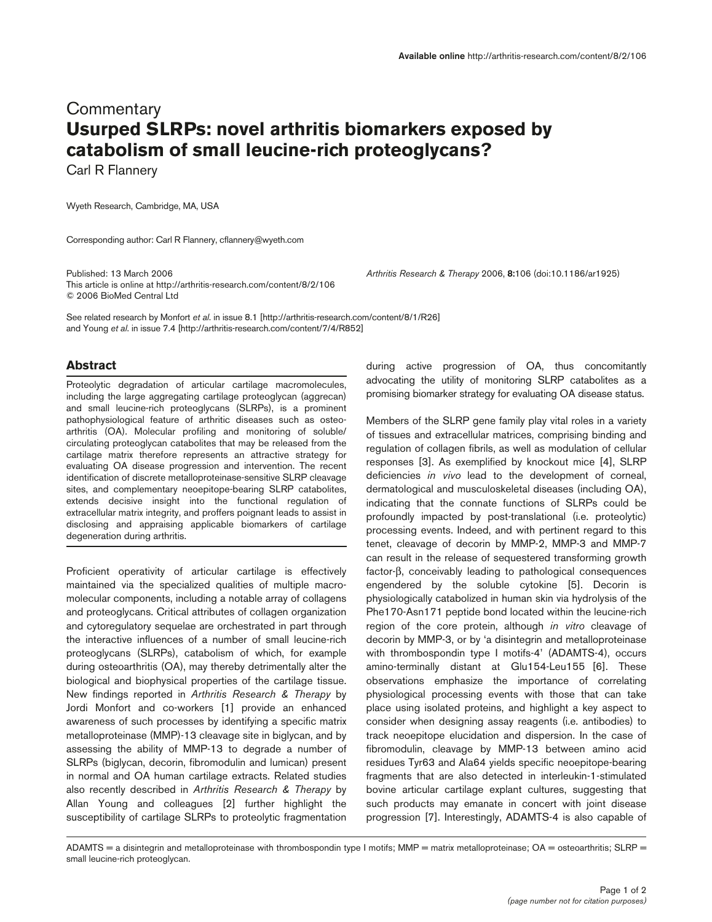# **Commentary Usurped SLRPs: novel arthritis biomarkers exposed by catabolism of small leucine-rich proteoglycans?**

Carl R Flannery

Wyeth Research, Cambridge, MA, USA

Corresponding author: Carl R Flannery, cflannery@wyeth.com

Published: 13 March 2006 *Arthritis Research & Therapy* 2006, **8:**106 (doi:10.1186/ar1925) This article is online at http://arthritis-research.com/content/8/2/106 © 2006 BioMed Central Ltd

See related research by Monfort *et al*. in issue 8.1 [http://arthritis-research.com/content/8/1/R26] and Young *et al*. in issue 7.4 [http://arthritis-research.com/content/7/4/R852]

#### **Abstract**

Proteolytic degradation of articular cartilage macromolecules, including the large aggregating cartilage proteoglycan (aggrecan) and small leucine-rich proteoglycans (SLRPs), is a prominent pathophysiological feature of arthritic diseases such as osteoarthritis (OA). Molecular profiling and monitoring of soluble/ circulating proteoglycan catabolites that may be released from the cartilage matrix therefore represents an attractive strategy for evaluating OA disease progression and intervention. The recent identification of discrete metalloproteinase-sensitive SLRP cleavage sites, and complementary neoepitope-bearing SLRP catabolites, extends decisive insight into the functional regulation of extracellular matrix integrity, and proffers poignant leads to assist in disclosing and appraising applicable biomarkers of cartilage degeneration during arthritis.

Proficient operativity of articular cartilage is effectively maintained via the specialized qualities of multiple macromolecular components, including a notable array of collagens and proteoglycans. Critical attributes of collagen organization and cytoregulatory sequelae are orchestrated in part through the interactive influences of a number of small leucine-rich proteoglycans (SLRPs), catabolism of which, for example during osteoarthritis (OA), may thereby detrimentally alter the biological and biophysical properties of the cartilage tissue. New findings reported in *Arthritis Research & Therapy* by Jordi Monfort and co-workers [1] provide an enhanced awareness of such processes by identifying a specific matrix metalloproteinase (MMP)-13 cleavage site in biglycan, and by assessing the ability of MMP-13 to degrade a number of SLRPs (biglycan, decorin, fibromodulin and lumican) present in normal and OA human cartilage extracts. Related studies also recently described in *Arthritis Research & Therapy* by Allan Young and colleagues [2] further highlight the susceptibility of cartilage SLRPs to proteolytic fragmentation

during active progression of OA, thus concomitantly advocating the utility of monitoring SLRP catabolites as a promising biomarker strategy for evaluating OA disease status.

Members of the SLRP gene family play vital roles in a variety of tissues and extracellular matrices, comprising binding and regulation of collagen fibrils, as well as modulation of cellular responses [3]. As exemplified by knockout mice [4], SLRP deficiencies *in vivo* lead to the development of corneal, dermatological and musculoskeletal diseases (including OA), indicating that the connate functions of SLRPs could be profoundly impacted by post-translational (i.e. proteolytic) processing events. Indeed, and with pertinent regard to this tenet, cleavage of decorin by MMP-2, MMP-3 and MMP-7 can result in the release of sequestered transforming growth factor-β, conceivably leading to pathological consequences engendered by the soluble cytokine [5]. Decorin is physiologically catabolized in human skin via hydrolysis of the Phe170-Asn171 peptide bond located within the leucine-rich region of the core protein, although *in vitro* cleavage of decorin by MMP-3, or by 'a disintegrin and metalloproteinase with thrombospondin type I motifs-4' (ADAMTS-4), occurs amino-terminally distant at Glu154-Leu155 [6]. These observations emphasize the importance of correlating physiological processing events with those that can take place using isolated proteins, and highlight a key aspect to consider when designing assay reagents (i.e. antibodies) to track neoepitope elucidation and dispersion. In the case of fibromodulin, cleavage by MMP-13 between amino acid residues Tyr63 and Ala64 yields specific neoepitope-bearing fragments that are also detected in interleukin-1-stimulated bovine articular cartilage explant cultures, suggesting that such products may emanate in concert with joint disease progression [7]. Interestingly, ADAMTS-4 is also capable of

ADAMTS = a disintegrin and metalloproteinase with thrombospondin type I motifs; MMP = matrix metalloproteinase; OA = osteoarthritis; SLRP = small leucine-rich proteoglycan.